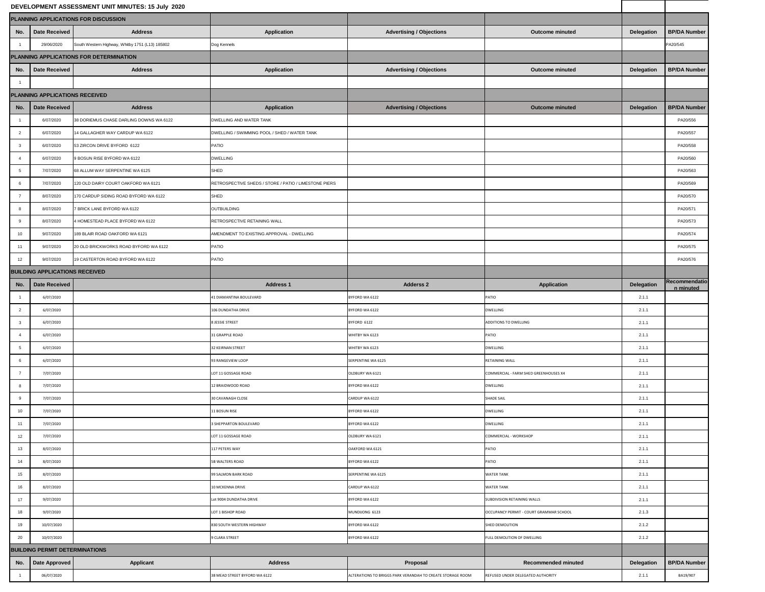| DEVELOPMENT ASSESSMENT UNIT MINUTES: 15 July 2020 |                      |                                                 |                                                       |                                                            |                                         |                   |                            |  |  |  |
|---------------------------------------------------|----------------------|-------------------------------------------------|-------------------------------------------------------|------------------------------------------------------------|-----------------------------------------|-------------------|----------------------------|--|--|--|
|                                                   |                      | PLANNING APPLICATIONS FOR DISCUSSION            |                                                       |                                                            |                                         |                   |                            |  |  |  |
| No.                                               | <b>Date Received</b> | <b>Address</b>                                  | <b>Application</b>                                    | <b>Advertising / Objections</b>                            | <b>Outcome minuted</b>                  | <b>Delegation</b> | <b>BP/DA Number</b>        |  |  |  |
|                                                   | 29/06/2020           | South Western Highway, Whitby 1751 (L13) 185802 | Dog Kennels                                           |                                                            |                                         |                   | PA20/545                   |  |  |  |
|                                                   |                      | PLANNING APPLICATIONS FOR DETERMINATION         |                                                       |                                                            |                                         |                   |                            |  |  |  |
| No.                                               | <b>Date Received</b> | <b>Address</b>                                  | <b>Application</b>                                    | <b>Advertising / Objections</b>                            | <b>Outcome minuted</b>                  | <b>Delegation</b> | <b>BP/DA Number</b>        |  |  |  |
|                                                   |                      |                                                 |                                                       |                                                            |                                         |                   |                            |  |  |  |
| PLANNING APPLICATIONS RECEIVED                    |                      |                                                 |                                                       |                                                            |                                         |                   |                            |  |  |  |
| No.                                               | <b>Date Received</b> | <b>Address</b>                                  | <b>Application</b>                                    | <b>Advertising / Objections</b>                            | <b>Outcome minuted</b>                  | <b>Delegation</b> | <b>BP/DA Number</b>        |  |  |  |
|                                                   | 6/07/2020            | 38 DORIEMUS CHASE DARLING DOWNS WA 6122         | DWELLING AND WATER TANK                               |                                                            |                                         |                   | PA20/556                   |  |  |  |
| $\overline{2}$                                    | 6/07/2020            | 14 GALLAGHER WAY CARDUP WA 6122                 | DWELLING / SWIMMING POOL / SHED / WATER TANK          |                                                            |                                         |                   | PA20/557                   |  |  |  |
| $\mathbf{3}$                                      | 6/07/2020            | 53 ZIRCON DRIVE BYFORD 6122                     | PATIO                                                 |                                                            |                                         |                   | PA20/558                   |  |  |  |
|                                                   | 6/07/2020            | 9 BOSUN RISE BYFORD WA 6122                     | <b>DWELLING</b>                                       |                                                            |                                         |                   | PA20/560                   |  |  |  |
| 5 <sup>5</sup>                                    | 7/07/2020            | 68 ALLUM WAY SERPENTINE WA 6125                 | <b>SHED</b>                                           |                                                            |                                         |                   | PA20/563                   |  |  |  |
| 6                                                 | 7/07/2020            | 120 OLD DAIRY COURT OAKFORD WA 6121             | RETROSPECTIVE SHEDS / STORE / PATIO / LIMESTONE PIERS |                                                            |                                         |                   | PA20/569                   |  |  |  |
| $\overline{7}$                                    | 8/07/2020            | 170 CARDUP SIDING ROAD BYFORD WA 6122           | SHED                                                  |                                                            |                                         |                   | PA20/570                   |  |  |  |
|                                                   | 8/07/2020            | 7 BRICK LANE BYFORD WA 6122                     | OUTBUILDING                                           |                                                            |                                         |                   | PA20/571                   |  |  |  |
|                                                   | 8/07/2020            | 4 HOMESTEAD PLACE BYFORD WA 6122                | RETROSPECTIVE RETAINING WALL                          |                                                            |                                         |                   | PA20/573                   |  |  |  |
| 10 <sup>1</sup>                                   | 9/07/2020            | 189 BLAIR ROAD OAKFORD WA 6121                  | AMENDMENT TO EXISTING APPROVAL - DWELLING             |                                                            |                                         |                   | PA20/574                   |  |  |  |
| 11                                                | 9/07/2020            | 20 OLD BRICKWORKS ROAD BYFORD WA 6122           | PATIO                                                 |                                                            |                                         |                   | PA20/575                   |  |  |  |
| 12                                                | 9/07/2020            | 19 CASTERTON ROAD BYFORD WA 6122                | PATIO                                                 |                                                            |                                         |                   | PA20/576                   |  |  |  |
| <b>BUILDING APPLICATIONS RECEIVED</b>             |                      |                                                 |                                                       |                                                            |                                         |                   |                            |  |  |  |
| No.                                               | <b>Date Received</b> |                                                 | <b>Address 1</b>                                      | <b>Adderss 2</b>                                           | <b>Application</b>                      | <b>Delegation</b> | Recommendatio<br>n minuted |  |  |  |
|                                                   | 6/07/2020            |                                                 | 41 DIAMANTINA BOULEVARD                               | BYFORD WA 6122                                             | <b>PATIO</b>                            | 2.1.1             |                            |  |  |  |
| $\overline{2}$                                    | 6/07/2020            |                                                 | 106 DUNDATHA DRIVE                                    | BYFORD WA 6122                                             | <b>DWELLING</b>                         | 2.1.1             |                            |  |  |  |
| $\mathbf{3}$                                      | 6/07/2020            |                                                 | <b>8 JESSIE STREET</b>                                | BYFORD 6122                                                | <b>ADDITIONS TO DWELLING</b>            | 2.1.1             |                            |  |  |  |
|                                                   | 6/07/2020            |                                                 | 31 GRAPPLE ROAD                                       | WHITBY WA 6123                                             | PATIO                                   | 2.1.1             |                            |  |  |  |
| 5 <sup>5</sup>                                    | 6/07/2020            |                                                 | 32 KEIRNAN STREET                                     | WHITBY WA 6123                                             | DWELLING                                | 2.1.1             |                            |  |  |  |
| 6                                                 | 6/07/2020            |                                                 | 93 RANGEVIEW LOOP                                     | SERPENTINE WA 6125                                         | <b>RETAINING WALL</b>                   | 2.1.1             |                            |  |  |  |
| $\overline{7}$                                    | 7/07/2020            |                                                 | LOT 11 GOSSAGE ROAD                                   | OLDBURY WA 6121                                            | COMMERCIAL - FARM SHED GREENHOUSES X4   | 2.1.1             |                            |  |  |  |
| 8                                                 | 7/07/2020            |                                                 | 12 BRAIDWOOD ROAD                                     | BYFORD WA 6122                                             | <b>DWELLING</b>                         | 2.1.1             |                            |  |  |  |
| 9                                                 | 7/07/2020            |                                                 | 30 CAVANAGH CLOSE                                     | CARDUP WA 6122                                             | <b>SHADE SAIL</b>                       | 2.1.1             |                            |  |  |  |
| 10 <sup>1</sup>                                   | 7/07/2020            |                                                 | 11 BOSUN RISE                                         | BYFORD WA 6122                                             | <b>DWELLING</b>                         | 2.1.1             |                            |  |  |  |
| 11                                                | 7/07/2020            |                                                 | 3 SHEPPARTON BOULEVARD                                | BYFORD WA 6122                                             | <b>DWELLING</b>                         | 2.1.1             |                            |  |  |  |
| 12                                                | 7/07/2020            |                                                 | LOT 11 GOSSAGE ROAD                                   | OLDBURY WA 6121                                            | COMMERCIAL - WORKSHOP                   | 2.1.1             |                            |  |  |  |
| 13                                                | 8/07/2020            |                                                 | 117 PETERS WAY                                        | OAKFORD WA 6121                                            | PATIO                                   | 2.1.1             |                            |  |  |  |
| 14                                                | 8/07/2020            |                                                 | 5B WALTERS ROAD                                       | BYFORD WA 6122                                             | <b>PATIO</b>                            | 2.1.1             |                            |  |  |  |
| 15                                                | 8/07/2020            |                                                 | 99 SALMON BARK ROAD                                   | SERPENTINE WA 6125                                         | <b>WATER TANK</b>                       | 2.1.1             |                            |  |  |  |
| 16                                                | 8/07/2020            |                                                 | 10 MCKENNA DRIVE                                      | CARDUP WA 6122                                             | <b>WATER TANK</b>                       | 2.1.1             |                            |  |  |  |
| 17                                                | 9/07/2020            |                                                 | Lot 9004 DUNDATHA DRIVE                               | BYFORD WA 6122                                             | SUBDIVISION RETAINING WALLS             | 2.1.1             |                            |  |  |  |
| 18                                                | 9/07/2020            |                                                 | LOT 1 BISHOP ROAD                                     | MUNDIJONG 6123                                             | OCCUPANCY PERMIT - COURT GRAMMAR SCHOOL | 2.1.3             |                            |  |  |  |
| 19                                                | 10/07/2020           |                                                 | 830 SOUTH WESTERN HIGHWAY                             | BYFORD WA 6122                                             | SHED DEMOLITION                         | 2.1.2             |                            |  |  |  |
| 20                                                | 10/07/2020           |                                                 | 9 CLARA STREET                                        | BYFORD WA 6122                                             | FULL DEMOLITION OF DWELLING             | 2.1.2             |                            |  |  |  |
| <b>BUILDING PERMIT DETERMINATIONS</b>             |                      |                                                 |                                                       |                                                            |                                         |                   |                            |  |  |  |
|                                                   | No.   Date Approved  | <b>Applicant</b>                                | <b>Address</b>                                        | Proposal                                                   | <b>Recommended minuted</b>              | <b>Delegation</b> | <b>BP/DA Number</b>        |  |  |  |
|                                                   | 06/07/2020           |                                                 | 38 MEAD STREET BYFORD WA 6122                         | ALTERATIONS TO BRIGGS PARK VERANDAH TO CREATE STORAGE ROOM | REFUSED UNDER DELEGATED AUTHORITY       | 2.1.1             | BA19/907                   |  |  |  |

a ka